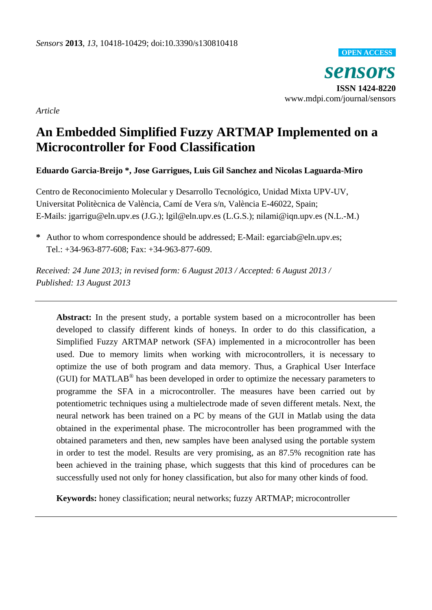

*Article*

# **An Embedded Simplified Fuzzy ARTMAP Implemented on a Microcontroller for Food Classification**

**Eduardo Garcia-Breijo \*, Jose Garrigues, Luis Gil Sanchez and Nicolas Laguarda-Miro**

Centro de Reconocimiento Molecular y Desarrollo Tecnológico, Unidad Mixta UPV-UV, Universitat Politècnica de València, Cam íde Vera s/n, València E-46022, Spain; E-Mails: jgarrigu@eln.upv.es (J.G.); lgil@eln.upv.es (L.G.S.); nilami@iqn.upv.es (N.L.-M.)

**\*** Author to whom correspondence should be addressed; E-Mail: egarciab@eln.upv.es; Tel.: +34-963-877-608; Fax: +34-963-877-609.

*Received: 24 June 2013; in revised form: 6 August 2013 / Accepted: 6 August 2013 / Published: 13 August 2013*

**Abstract:** In the present study, a portable system based on a microcontroller has been developed to classify different kinds of honeys. In order to do this classification, a Simplified Fuzzy ARTMAP network (SFA) implemented in a microcontroller has been used. Due to memory limits when working with microcontrollers, it is necessary to optimize the use of both program and data memory. Thus, a Graphical User Interface (GUI) for MATLAB $^{\circledR}$  has been developed in order to optimize the necessary parameters to programme the SFA in a microcontroller. The measures have been carried out by potentiometric techniques using a multielectrode made of seven different metals. Next, the neural network has been trained on a PC by means of the GUI in Matlab using the data obtained in the experimental phase. The microcontroller has been programmed with the obtained parameters and then, new samples have been analysed using the portable system in order to test the model. Results are very promising, as an 87.5% recognition rate has been achieved in the training phase, which suggests that this kind of procedures can be successfully used not only for honey classification, but also for many other kinds of food.

**Keywords:** honey classification; neural networks; fuzzy ARTMAP; microcontroller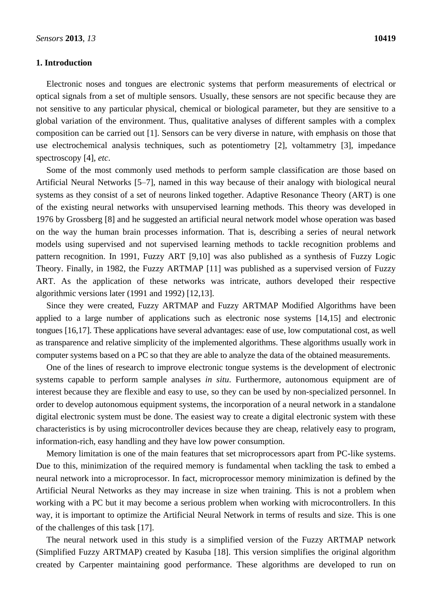### **1. Introduction**

Electronic noses and tongues are electronic systems that perform measurements of electrical or optical signals from a set of multiple sensors. Usually, these sensors are not specific because they are not sensitive to any particular physical, chemical or biological parameter, but they are sensitive to a global variation of the environment. Thus, qualitative analyses of different samples with a complex composition can be carried out [1]. Sensors can be very diverse in nature, with emphasis on those that use electrochemical analysis techniques, such as potentiometry [2], voltammetry [3], impedance spectroscopy [4], *etc*.

Some of the most commonly used methods to perform sample classification are those based on Artificial Neural Networks [5–7], named in this way because of their analogy with biological neural systems as they consist of a set of neurons linked together. Adaptive Resonance Theory (ART) is one of the existing neural networks with unsupervised learning methods. This theory was developed in 1976 by Grossberg [8] and he suggested an artificial neural network model whose operation was based on the way the human brain processes information. That is, describing a series of neural network models using supervised and not supervised learning methods to tackle recognition problems and pattern recognition. In 1991, Fuzzy ART [9,10] was also published as a synthesis of Fuzzy Logic Theory. Finally, in 1982, the Fuzzy ARTMAP [11] was published as a supervised version of Fuzzy ART. As the application of these networks was intricate, authors developed their respective algorithmic versions later (1991 and 1992) [12,13].

Since they were created, Fuzzy ARTMAP and Fuzzy ARTMAP Modified Algorithms have been applied to a large number of applications such as electronic nose systems [14,15] and electronic tongues [16,17]. These applications have several advantages: ease of use, low computational cost, as well as transparence and relative simplicity of the implemented algorithms. These algorithms usually work in computer systems based on a PC so that they are able to analyze the data of the obtained measurements.

One of the lines of research to improve electronic tongue systems is the development of electronic systems capable to perform sample analyses *in situ*. Furthermore, autonomous equipment are of interest because they are flexible and easy to use, so they can be used by non-specialized personnel. In order to develop autonomous equipment systems, the incorporation of a neural network in a standalone digital electronic system must be done. The easiest way to create a digital electronic system with these characteristics is by using microcontroller devices because they are cheap, relatively easy to program, information-rich, easy handling and they have low power consumption.

Memory limitation is one of the main features that set microprocessors apart from PC-like systems. Due to this, minimization of the required memory is fundamental when tackling the task to embed a neural network into a microprocessor. In fact, microprocessor memory minimization is defined by the Artificial Neural Networks as they may increase in size when training. This is not a problem when working with a PC but it may become a serious problem when working with microcontrollers. In this way, it is important to optimize the Artificial Neural Network in terms of results and size. This is one of the challenges of this task [17].

The neural network used in this study is a simplified version of the Fuzzy ARTMAP network (Simplified Fuzzy ARTMAP) created by Kasuba [18]. This version simplifies the original algorithm created by Carpenter maintaining good performance. These algorithms are developed to run on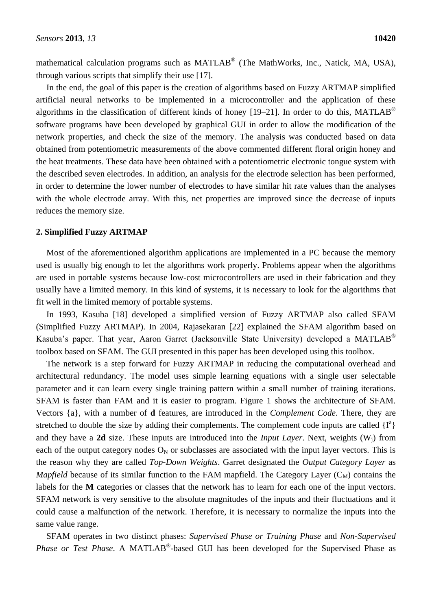mathematical calculation programs such as MATLAB<sup>®</sup> (The MathWorks, Inc., Natick, MA, USA), through various scripts that simplify their use [17].

In the end, the goal of this paper is the creation of algorithms based on Fuzzy ARTMAP simplified artificial neural networks to be implemented in a microcontroller and the application of these algorithms in the classification of different kinds of honey [19–21]. In order to do this, MATLAB<sup>®</sup> software programs have been developed by graphical GUI in order to allow the modification of the network properties, and check the size of the memory. The analysis was conducted based on data obtained from potentiometric measurements of the above commented different floral origin honey and the heat treatments. These data have been obtained with a potentiometric electronic tongue system with the described seven electrodes. In addition, an analysis for the electrode selection has been performed, in order to determine the lower number of electrodes to have similar hit rate values than the analyses with the whole electrode array. With this, net properties are improved since the decrease of inputs reduces the memory size.

#### **2. Simplified Fuzzy ARTMAP**

Most of the aforementioned algorithm applications are implemented in a PC because the memory used is usually big enough to let the algorithms work properly. Problems appear when the algorithms are used in portable systems because low-cost microcontrollers are used in their fabrication and they usually have a limited memory. In this kind of systems, it is necessary to look for the algorithms that fit well in the limited memory of portable systems.

In 1993, Kasuba [18] developed a simplified version of Fuzzy ARTMAP also called SFAM (Simplified Fuzzy ARTMAP). In 2004, Rajasekaran [22] explained the SFAM algorithm based on Kasuba's paper. That year, Aaron Garret (Jacksonville State University) developed a MATLAB<sup>®</sup> toolbox based on SFAM. The GUI presented in this paper has been developed using this toolbox.

The network is a step forward for Fuzzy ARTMAP in reducing the computational overhead and architectural redundancy. The model uses simple learning equations with a single user selectable parameter and it can learn every single training pattern within a small number of training iterations. SFAM is faster than FAM and it is easier to program. Figure 1 shows the architecture of SFAM. Vectors {a}, with a number of **d** features, are introduced in the *Complement Code*. There, they are stretched to double the size by adding their complements. The complement code inputs are called  $\{I^a\}$ and they have a **2d** size. These inputs are introduced into the *Input Layer*. Next, weights (Wj) from each of the output category nodes  $O<sub>N</sub>$  or subclasses are associated with the input layer vectors. This is the reason why they are called *Top-Down Weights*. Garret designated the *Output Category Layer* as *Mapfield* because of its similar function to the FAM mapfield. The Category Layer  $(C_M)$  contains the labels for the **M** categories or classes that the network has to learn for each one of the input vectors. SFAM network is very sensitive to the absolute magnitudes of the inputs and their fluctuations and it could cause a malfunction of the network. Therefore, it is necessary to normalize the inputs into the same value range.

SFAM operates in two distinct phases: *Supervised Phase or Training Phase* and *Non-Supervised Phase or Test Phase*. A MATLAB® -based GUI has been developed for the Supervised Phase as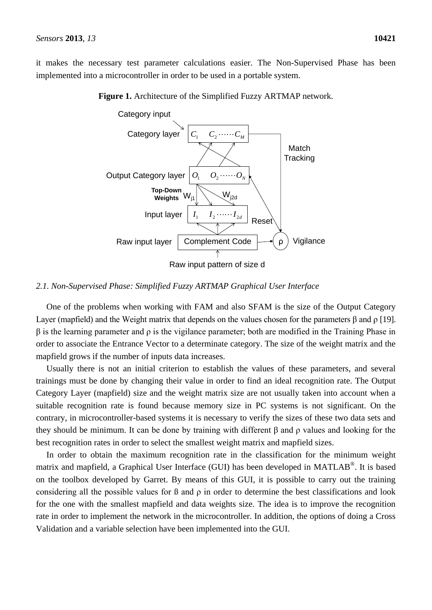it makes the necessary test parameter calculations easier. The Non-Supervised Phase has been implemented into a microcontroller in order to be used in a portable system.





### *2.1. Non-Supervised Phase: Simplified Fuzzy ARTMAP Graphical User Interface*

One of the problems when working with FAM and also SFAM is the size of the Output Category Layer (mapfield) and the Weight matrix that depends on the values chosen for the parameters  $\beta$  and  $\rho$  [19].  $β$  is the learning parameter and  $ρ$  is the vigilance parameter; both are modified in the Training Phase in order to associate the Entrance Vector to a determinate category. The size of the weight matrix and the mapfield grows if the number of inputs data increases.

Usually there is not an initial criterion to establish the values of these parameters, and several trainings must be done by changing their value in order to find an ideal recognition rate. The Output Category Layer (mapfield) size and the weight matrix size are not usually taken into account when a suitable recognition rate is found because memory size in PC systems is not significant. On the contrary, in microcontroller-based systems it is necessary to verify the sizes of these two data sets and they should be minimum. It can be done by training with different β and ρ values and looking for the best recognition rates in order to select the smallest weight matrix and mapfield sizes.

In order to obtain the maximum recognition rate in the classification for the minimum weight matrix and mapfield, a Graphical User Interface (GUI) has been developed in MATLAB<sup>®</sup>. It is based on the toolbox developed by Garret. By means of this GUI, it is possible to carry out the training considering all the possible values for ß and ρ in order to determine the best classifications and look for the one with the smallest mapfield and data weights size. The idea is to improve the recognition rate in order to implement the network in the microcontroller. In addition, the options of doing a Cross Validation and a variable selection have been implemented into the GUI.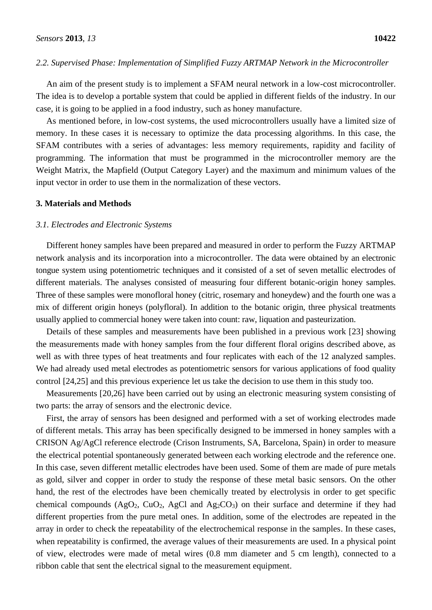#### *2.2. Supervised Phase: Implementation of Simplified Fuzzy ARTMAP Network in the Microcontroller*

An aim of the present study is to implement a SFAM neural network in a low-cost microcontroller. The idea is to develop a portable system that could be applied in different fields of the industry. In our case, it is going to be applied in a food industry, such as honey manufacture.

As mentioned before, in low-cost systems, the used microcontrollers usually have a limited size of memory. In these cases it is necessary to optimize the data processing algorithms. In this case, the SFAM contributes with a series of advantages: less memory requirements, rapidity and facility of programming. The information that must be programmed in the microcontroller memory are the Weight Matrix, the Mapfield (Output Category Layer) and the maximum and minimum values of the input vector in order to use them in the normalization of these vectors.

#### **3. Materials and Methods**

#### *3.1. Electrodes and Electronic Systems*

Different honey samples have been prepared and measured in order to perform the Fuzzy ARTMAP network analysis and its incorporation into a microcontroller. The data were obtained by an electronic tongue system using potentiometric techniques and it consisted of a set of seven metallic electrodes of different materials. The analyses consisted of measuring four different botanic-origin honey samples. Three of these samples were monofloral honey (citric, rosemary and honeydew) and the fourth one was a mix of different origin honeys (polyfloral). In addition to the botanic origin, three physical treatments usually applied to commercial honey were taken into count: raw, liquation and pasteurization.

Details of these samples and measurements have been published in a previous work [23] showing the measurements made with honey samples from the four different floral origins described above, as well as with three types of heat treatments and four replicates with each of the 12 analyzed samples. We had already used metal electrodes as potentiometric sensors for various applications of food quality control [24,25] and this previous experience let us take the decision to use them in this study too.

Measurements [20,26] have been carried out by using an electronic measuring system consisting of two parts: the array of sensors and the electronic device.

First, the array of sensors has been designed and performed with a set of working electrodes made of different metals. This array has been specifically designed to be immersed in honey samples with a CRISON Ag/AgCl reference electrode (Crison Instruments, SA, Barcelona, Spain) in order to measure the electrical potential spontaneously generated between each working electrode and the reference one. In this case, seven different metallic electrodes have been used. Some of them are made of pure metals as gold, silver and copper in order to study the response of these metal basic sensors. On the other hand, the rest of the electrodes have been chemically treated by electrolysis in order to get specific chemical compounds (AgO<sub>2</sub>, CuO<sub>2</sub>, AgCl and Ag<sub>2</sub>CO<sub>3</sub>) on their surface and determine if they had different properties from the pure metal ones. In addition, some of the electrodes are repeated in the array in order to check the repeatability of the electrochemical response in the samples. In these cases, when repeatability is confirmed, the average values of their measurements are used. In a physical point of view, electrodes were made of metal wires (0.8 mm diameter and 5 cm length), connected to a ribbon cable that sent the electrical signal to the measurement equipment.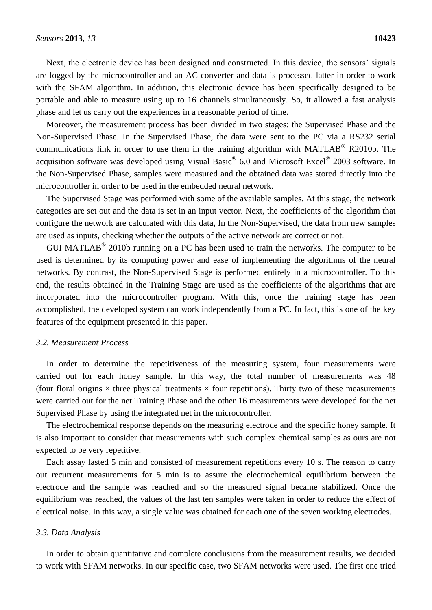Next, the electronic device has been designed and constructed. In this device, the sensors' signals are logged by the microcontroller and an AC converter and data is processed latter in order to work with the SFAM algorithm. In addition, this electronic device has been specifically designed to be portable and able to measure using up to 16 channels simultaneously. So, it allowed a fast analysis phase and let us carry out the experiences in a reasonable period of time.

Moreover, the measurement process has been divided in two stages: the Supervised Phase and the Non-Supervised Phase. In the Supervised Phase, the data were sent to the PC via a RS232 serial communications link in order to use them in the training algorithm with MATLAB® R2010b. The acquisition software was developed using Visual Basic® 6.0 and Microsoft Excel® 2003 software. In the Non-Supervised Phase, samples were measured and the obtained data was stored directly into the microcontroller in order to be used in the embedded neural network.

The Supervised Stage was performed with some of the available samples. At this stage, the network categories are set out and the data is set in an input vector. Next, the coefficients of the algorithm that configure the network are calculated with this data, In the Non-Supervised, the data from new samples are used as inputs, checking whether the outputs of the active network are correct or not.

GUI MATLAB $^{\circledR}$  2010b running on a PC has been used to train the networks. The computer to be used is determined by its computing power and ease of implementing the algorithms of the neural networks. By contrast, the Non-Supervised Stage is performed entirely in a microcontroller. To this end, the results obtained in the Training Stage are used as the coefficients of the algorithms that are incorporated into the microcontroller program. With this, once the training stage has been accomplished, the developed system can work independently from a PC. In fact, this is one of the key features of the equipment presented in this paper.

#### *3.2. Measurement Process*

In order to determine the repetitiveness of the measuring system, four measurements were carried out for each honey sample. In this way, the total number of measurements was 48 (four floral origins  $\times$  three physical treatments  $\times$  four repetitions). Thirty two of these measurements were carried out for the net Training Phase and the other 16 measurements were developed for the net Supervised Phase by using the integrated net in the microcontroller.

The electrochemical response depends on the measuring electrode and the specific honey sample. It is also important to consider that measurements with such complex chemical samples as ours are not expected to be very repetitive.

Each assay lasted 5 min and consisted of measurement repetitions every 10 s. The reason to carry out recurrent measurements for 5 min is to assure the electrochemical equilibrium between the electrode and the sample was reached and so the measured signal became stabilized. Once the equilibrium was reached, the values of the last ten samples were taken in order to reduce the effect of electrical noise. In this way, a single value was obtained for each one of the seven working electrodes.

#### *3.3. Data Analysis*

In order to obtain quantitative and complete conclusions from the measurement results, we decided to work with SFAM networks. In our specific case, two SFAM networks were used. The first one tried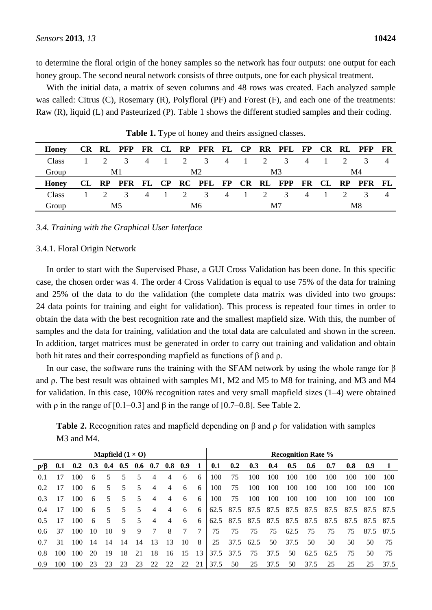to determine the floral origin of the honey samples so the network has four outputs: one output for each honey group. The second neural network consists of three outputs, one for each physical treatment.

With the initial data, a matrix of seven columns and 48 rows was created. Each analyzed sample was called: Citrus (C), Rosemary (R), Polyfloral (PF) and Forest (F), and each one of the treatments: Raw (R), liquid (L) and Pasteurized (P). Table 1 shows the different studied samples and their coding.

| Honey        |    |    |              |   |    |    | CR RL PFP FR CL RP PFR FL CP RR PFL FP CR RL PFP FR |  |     |                |     |                |    |    |    |  |  |
|--------------|----|----|--------------|---|----|----|-----------------------------------------------------|--|-----|----------------|-----|----------------|----|----|----|--|--|
| <b>Class</b> |    |    | 2 3          | 4 |    |    | 1 2 3                                               |  | 4 1 |                | 2 3 | $\overline{4}$ |    |    |    |  |  |
| Group        |    | M1 |              |   |    | M2 |                                                     |  |     | M <sub>3</sub> |     |                |    | M4 |    |  |  |
| Honey        |    |    |              |   |    |    | CL RP PFR FL CP RC PFL FP CR RL FPP FR CL RP PFR FL |  |     |                |     |                |    |    |    |  |  |
| Class        |    |    | $2 \sqrt{3}$ |   |    |    | 4 1 2 3                                             |  |     | 4 1 2 3        |     | $\overline{4}$ |    |    | -3 |  |  |
|              | M5 |    |              |   | M6 |    |                                                     |  | M7  |                |     |                | М8 |    |    |  |  |

**Table 1.** Type of honey and theirs assigned classes.

#### *3.4. Training with the Graphical User Interface*

#### 3.4.1. Floral Origin Network

In order to start with the Supervised Phase, a GUI Cross Validation has been done. In this specific case, the chosen order was 4. The order 4 Cross Validation is equal to use 75% of the data for training and 25% of the data to do the validation (the complete data matrix was divided into two groups: 24 data points for training and eight for validation). This process is repeated four times in order to obtain the data with the best recognition rate and the smallest mapfield size. With this, the number of samples and the data for training, validation and the total data are calculated and shown in the screen. In addition, target matrices must be generated in order to carry out training and validation and obtain both hit rates and their corresponding mapfield as functions of  $\beta$  and  $\rho$ .

In our case, the software runs the training with the SFAM network by using the whole range for β and ρ. The best result was obtained with samples M1, M2 and M5 to M8 for training, and M3 and M4 for validation. In this case, 100% recognition rates and very small mapfield sizes (1–4) were obtained with  $\rho$  in the range of [0.1–0.3] and  $\beta$  in the range of [0.7–0.8]. See Table 2.

**Table 2.** Recognition rates and mapfield depending on β and ρ for validation with samples M3 and M4.

| Mapfield $(1 \times 0)$ |      |      |     |     |    |    |                | <b>Recognition Rate %</b> |    |    |      |      |           |           |      |      |      |      |      |      |
|-------------------------|------|------|-----|-----|----|----|----------------|---------------------------|----|----|------|------|-----------|-----------|------|------|------|------|------|------|
| $\rho/\beta$            | 0.1  | 0.2  | 0.3 | 0.4 |    |    |                | $0.5$ 0.6 0.7 0.8 0.9     |    | -1 | 0.1  | 0.2  | 0.3       | 0.4       | 0.5  | 0.6  | 0.7  | 0.8  | 0.9  |      |
| 0.1                     | 17   | 100  | 6   | 5   | 5  | 5  | 4              | 4                         | 6  | 6  | 100  | 75   | 100       | 100       | 100  | 100  | 100  | 100  | 100  | 100  |
| 0.2                     | 17   | 100  | 6   | 5   | 5  | 5  | 4              | 4                         | 6  | 6  | 100  | 75   | 100       | 100       | 100  | 100  | 100  | 100  | 100  | 100  |
| 0.3                     | 17   | 100  | 6   | 5   | 5  | 5  | 4              | 4                         | 6  | 6  | 100  | 75   | 100       | 100       | 100  | 100  | 100  | 100  | 100  | 100  |
| 0.4                     | 17   | 100  | 6   | 5   | 5  | 5  | $\overline{4}$ | 4                         | 6  | 6  | 62.5 | 87.5 |           | 87.5 87.5 | 87.5 | 87.5 | 87.5 | 87.5 | 87.5 | 87.5 |
| 0.5                     | 17   | 100  | 6   | 5   | 5  | 5  | 4              | $\overline{4}$            | 6  | 6  | 62.5 | 87.5 | 87.5      | 87.5      | 87.5 | 87.5 | 87.5 | 87.5 | 87.5 | 87.5 |
| 0.6                     | 37   | 100  | 10  | 10  | 9  | 9  |                | 8                         | 7  | 7  | 75   | 75   | 75        | 75        | 62.5 | 75   | 75   | 75   | 87.5 | 87.5 |
| 0.7                     | 31   | 100  | 14  | 14  | 14 | 14 | 13             | 13                        | 10 | 8  | 25   |      | 37.5 62.5 | 50        | 37.5 | 50   | 50   | 50   | 50   | 75   |
| 0.8                     | 100  | 100  | 20  | 19  | 18 | 21 | 18             | 16                        | 15 | 13 | 37.5 | 37.5 | 75        | 37.5      | 50   | 62.5 | 62.5 | 75   | 50   | 75   |
| 0.9                     | 100. | 100. | 23  | 23  | 23 | 23 | 22             | 22                        | 22 | 21 | 37.5 | 50   | 25        | 37.5      | 50   | 37.5 | 25   | 25   | 25   | 37.5 |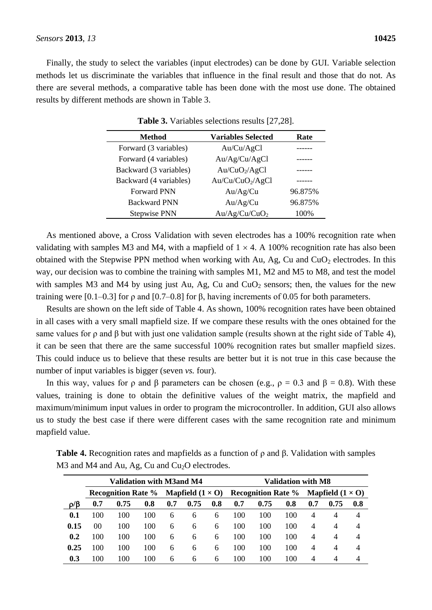Finally, the study to select the variables (input electrodes) can be done by GUI. Variable selection methods let us discriminate the variables that influence in the final result and those that do not. As there are several methods, a comparative table has been done with the most use done. The obtained results by different methods are shown in Table 3.

| <b>Method</b>          | <b>Variables Selected</b>    | Rate    |
|------------------------|------------------------------|---------|
| Forward (3 variables)  | Au/Cu/AgCl                   |         |
| Forward (4 variables)  | Au/Ag/Cu/AgCl                |         |
| Backward (3 variables) | Au/CuO <sub>2</sub> /AgCl    |         |
| Backward (4 variables) | Au/Cu/CuO <sub>2</sub> /AgCl |         |
| <b>Forward PNN</b>     | Au/Ag/Cu                     | 96.875% |
| <b>Backward PNN</b>    | Au/Ag/Cu                     | 96.875% |
| <b>Stepwise PNN</b>    | Au/Ag/Cu/CuO <sub>2</sub>    | 100\%   |

**Table 3.** Variables selections results [27,28].

As mentioned above, a Cross Validation with seven electrodes has a 100% recognition rate when validating with samples M3 and M4, with a mapfield of  $1 \times 4$ . A 100% recognition rate has also been obtained with the Stepwise PPN method when working with Au, Ag, Cu and  $CuO<sub>2</sub>$  electrodes. In this way, our decision was to combine the training with samples M1, M2 and M5 to M8, and test the model with samples M3 and M4 by using just Au, Ag, Cu and  $CuO<sub>2</sub>$  sensors; then, the values for the new training were [0.1–0.3] for ρ and [0.7–0.8] for β, having increments of 0.05 for both parameters.

Results are shown on the left side of Table 4. As shown, 100% recognition rates have been obtained in all cases with a very small mapfield size. If we compare these results with the ones obtained for the same values for  $\rho$  and  $\beta$  but with just one validation sample (results shown at the right side of Table 4), it can be seen that there are the same successful 100% recognition rates but smaller mapfield sizes. This could induce us to believe that these results are better but it is not true in this case because the number of input variables is bigger (seven *vs.* four).

In this way, values for ρ and β parameters can be chosen (e.g.,  $ρ = 0.3$  and  $β = 0.8$ ). With these values, training is done to obtain the definitive values of the weight matrix, the mapfield and maximum/minimum input values in order to program the microcontroller. In addition, GUI also allows us to study the best case if there were different cases with the same recognition rate and minimum mapfield value.

|      |     | Validation with M3and M4  |                         |     |      | Validation with M8 |                           |                         |     |     |      |                |  |
|------|-----|---------------------------|-------------------------|-----|------|--------------------|---------------------------|-------------------------|-----|-----|------|----------------|--|
|      |     | <b>Recognition Rate %</b> | Mapfield $(1 \times 0)$ |     |      |                    | <b>Recognition Rate %</b> | Mapfield $(1 \times 0)$ |     |     |      |                |  |
| p/B  | 0.7 | 0.75                      | 0.8                     | 0.7 | 0.75 | 0.8                | 0.7                       | 0.75                    | 0.8 | 0.7 | 0.75 | 0.8            |  |
| 0.1  | 100 | 100                       | 100                     | 6   | 6    | 6                  | 100                       | 100                     | 100 | 4   | 4    | $\overline{4}$ |  |
| 0.15 | 00  | 100                       | 100                     | 6   | 6    | 6                  | 100                       | 100                     | 100 | 4   | 4    | $\overline{4}$ |  |
| 0.2  | 100 | 100                       | 100                     | 6   | 6    | 6                  | 100                       | 100                     | 100 | 4   | 4    | $\overline{4}$ |  |
| 0.25 | 100 | 100                       | 100                     | 6   | 6    | 6                  | 100                       | 100                     | 100 | 4   | 4    | $\overline{4}$ |  |
| 0.3  | 100 | 100                       | 100                     | 6   | 6    | 6                  | 100                       | 100                     | 100 | 4   | 4    | 4              |  |

**Table 4.** Recognition rates and mapfields as a function of ρ and β. Validation with samples  $M3$  and  $M4$  and Au, Ag, Cu and Cu<sub>2</sub>O electrodes.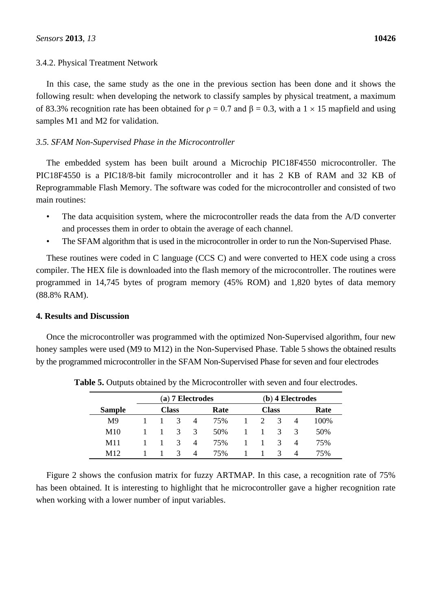#### 3.4.2. Physical Treatment Network

In this case, the same study as the one in the previous section has been done and it shows the following result: when developing the network to classify samples by physical treatment, a maximum of 83.3% recognition rate has been obtained for  $\rho = 0.7$  and  $\beta = 0.3$ , with a 1  $\times$  15 mapfield and using samples M1 and M2 for validation.

#### *3.5. SFAM Non-Supervised Phase in the Microcontroller*

The embedded system has been built around a Microchip PIC18F4550 microcontroller. The PIC18F4550 is a PIC18/8-bit family microcontroller and it has 2 KB of RAM and 32 KB of Reprogrammable Flash Memory. The software was coded for the microcontroller and consisted of two main routines:

- The data acquisition system, where the microcontroller reads the data from the A/D converter and processes them in order to obtain the average of each channel.
- The SFAM algorithm that is used in the microcontroller in order to run the Non-Supervised Phase.

These routines were coded in C language (CCS C) and were converted to HEX code using a cross compiler. The HEX file is downloaded into the flash memory of the microcontroller. The routines were programmed in 14,745 bytes of program memory (45% ROM) and 1,820 bytes of data memory (88.8% RAM).

# **4. Results and Discussion**

Once the microcontroller was programmed with the optimized Non-Supervised algorithm, four new honey samples were used (M9 to M12) in the Non-Supervised Phase. Table 5 shows the obtained results by the programmed microcontroller in the SFAM Non-Supervised Phase for seven and four electrodes

|               |              |   | (a) 7 Electrodes |      | (b) 4 Electrodes |                             |              |                |      |  |  |
|---------------|--------------|---|------------------|------|------------------|-----------------------------|--------------|----------------|------|--|--|
| <b>Sample</b> | <b>Class</b> |   |                  | Rate |                  |                             | <b>Class</b> |                | Rate |  |  |
| M9            |              | 3 | 4                | 75%  |                  | $\mathcal{D}_{\mathcal{L}}$ | 3            | $\overline{4}$ | 100% |  |  |
| M10           |              | 3 | 3                | 50%  |                  |                             | 3            | 3              | 50%  |  |  |
| M11           |              | 3 | 4                | 75%  |                  |                             | 3            | 4              | 75%  |  |  |
| M12           |              | 3 | 4                | 75%  |                  |                             | 3            | $\Delta$       | 75%  |  |  |

**Table 5.** Outputs obtained by the Microcontroller with seven and four electrodes.

Figure 2 shows the confusion matrix for fuzzy ARTMAP. In this case, a recognition rate of 75% has been obtained. It is interesting to highlight that he microcontroller gave a higher recognition rate when working with a lower number of input variables.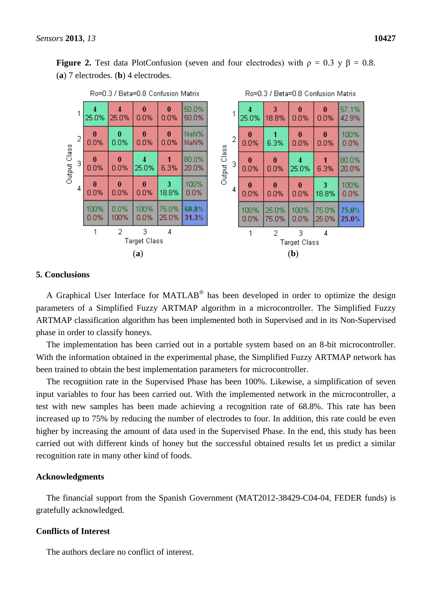

**Figure 2.** Test data PlotConfusion (seven and four electrodes) with  $\rho = 0.3$  y  $\beta = 0.8$ . (**a**) 7 electrodes. (**b**) 4 electrodes.

# **5. Conclusions**

A Graphical User Interface for MATLAB® has been developed in order to optimize the design parameters of a Simplified Fuzzy ARTMAP algorithm in a microcontroller. The Simplified Fuzzy ARTMAP classification algorithm has been implemented both in Supervised and in its Non-Supervised phase in order to classify honeys.

The implementation has been carried out in a portable system based on an 8-bit microcontroller. With the information obtained in the experimental phase, the Simplified Fuzzy ARTMAP network has been trained to obtain the best implementation parameters for microcontroller.

The recognition rate in the Supervised Phase has been 100%. Likewise, a simplification of seven input variables to four has been carried out. With the implemented network in the microcontroller, a test with new samples has been made achieving a recognition rate of 68.8%. This rate has been increased up to 75% by reducing the number of electrodes to four. In addition, this rate could be even higher by increasing the amount of data used in the Supervised Phase. In the end, this study has been carried out with different kinds of honey but the successful obtained results let us predict a similar recognition rate in many other kind of foods.

#### **Acknowledgments**

The financial support from the Spanish Government (MAT2012-38429-C04-04, FEDER funds) is gratefully acknowledged.

# **Conflicts of Interest**

The authors declare no conflict of interest.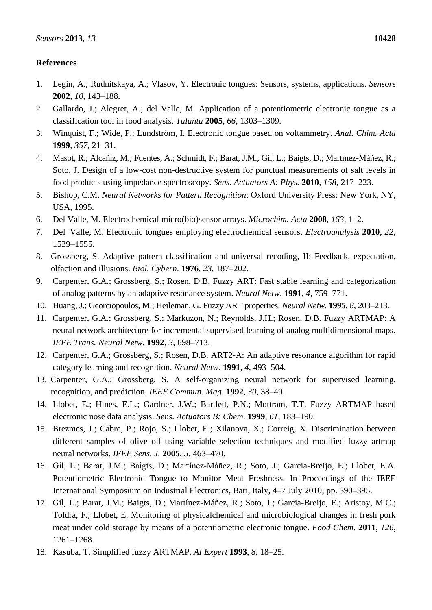# **References**

- 1. Legin, A.; Rudnitskaya, A.; Vlasov, Y. Electronic tongues: Sensors, systems, applications. *Sensors* **2002**, *10*, 143–188.
- 2. Gallardo, J.; Alegret, A.; del Valle, M. Application of a potentiometric electronic tongue as a classification tool in food analysis. *Talanta* **2005**, *66*, 1303–1309.
- 3. Winquist, F.; Wide, P.; Lundström, I. Electronic tongue based on voltammetry. *Anal. Chim. Acta* **1999**, *357*, 21–31.
- 4. Masot, R.; Alcañiz, M.; Fuentes, A.; Schmidt, F.; Barat, J.M.; Gil, L.; Baigts, D.; Mart nez-Máñez, R.; Soto, J. Design of a low-cost non-destructive system for punctual measurements of salt levels in food products using impedance spectroscopy. *Sens. Actuators A: Phys.* **2010**, *158*, 217–223.
- 5. Bishop, C.M. *Neural Networks for Pattern Recognition*; Oxford University Press: New York, NY, USA, 1995.
- 6. Del Valle, M. [Electrochemical micro\(bio\)sensor arrays.](http://www.experts.scival.com/uabcei/pubDetail.asp?t=pm&id=51449120475&n=Manuel+Del+Valle+Zafra&u_id=380&oe_id=1&o_id=) *Microchim. Acta* **2008**, *163*, 1–2.
- 7. Del Valle, M. Electronic tongues employing electrochemical sensors. *Electroanalysis* **2010**, *22*, 1539–1555.
- 8. Grossberg, S. Adaptive pattern classification and universal recoding, II: Feedback, expectation, olfaction and illusions. *Biol. Cybern*. **1976**, *23*, 187–202.
- 9. Carpenter, G.A.; Grossberg, S.; Rosen, D.B. Fuzzy ART: Fast stable learning and categorization of analog patterns by an adaptive resonance system. *Neural Netw*. **1991**, *4*, 759–771.
- 10. Huang, J.; Georciopoulos, M.; Heileman, G. Fuzzy ART properties. *Neural Netw.* **1995**, *8*, 203–213.
- 11. Carpenter, G.A.; Grossberg, S.; Markuzon, N.; Reynolds, J.H.; Rosen, D.B. Fuzzy ARTMAP: A neural network architecture for incremental supervised learning of analog multidimensional maps. *IEEE Trans. Neural Netw.* **1992**, *3*, 698–713.
- 12. Carpenter, G.A.; Grossberg, S.; Rosen, D.B. ART2-A: An adaptive resonance algorithm for rapid category learning and recognition. *[Neural Netw.](http://www.sciencedirect.com/science/journal/08936080)* **1991**, *4*, 493–504.
- 13. Carpenter, G.A.; Grossberg, S. A self-organizing neural network for supervised learning, recognition, and prediction. *IEEE Commun. Mag*. **1992**, *30*, 38–49.
- 14. Llobet, E.; Hines, E.L.; Gardner, J.W.; Bartlett, P.N.; Mottram, T.T. Fuzzy ARTMAP based electronic nose data analysis. *Sens. Actuators B: Chem.* **1999**, *61*, 183–190.
- 15. Brezmes, J.; Cabre, P.; Rojo, S.; Llobet, E.; Xilanova, X.; Correig, X. Discrimination between different samples of olive oil using variable selection techniques and modified fuzzy artmap neural networks. *IEEE Sens. J.* **2005**, *5*, 463–470.
- 16. Gil, L.; Barat, J.M.; Baigts, D.; Martínez-Máñez, R.; Soto, J.; Garcia-Breijo, E.; Llobet, E.A. Potentiometric Electronic Tongue to Monitor Meat Freshness. In Proceedings of the IEEE International Symposium on Industrial Electronics, Bari, Italy, 4–7 July 2010; pp. 390–395.
- 17. Gil, L.; Barat, J.M.; Baigts, D.; Martínez-Máñez, R.; Soto, J.; Garcia-Breijo, E.; Aristoy, M.C.; Toldrá, F.; Llobet, E. Monitoring of physicalchemical and microbiological changes in fresh pork meat under cold storage by means of a potentiometric electronic tongue. *Food Chem.* **2011**, *126*, 1261–1268.
- 18. Kasuba, T. Simplified fuzzy ARTMAP. *AI Expert* **1993**, *8*, 18–25.